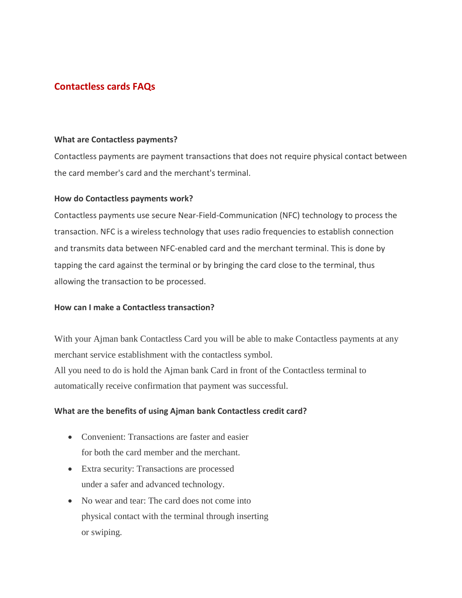# **Contactless cards FAQs**

## **What are Contactless payments?**

Contactless payments are payment transactions that does not require physical contact between the card member's card and the merchant's terminal.

#### **How do Contactless payments work?**

Contactless payments use secure Near-Field-Communication (NFC) technology to process the transaction. NFC is a wireless technology that uses radio frequencies to establish connection and transmits data between NFC-enabled card and the merchant terminal. This is done by tapping the card against the terminal or by bringing the card close to the terminal, thus allowing the transaction to be processed.

# **How can I make a Contactless transaction?**

With your Ajman bank Contactless Card you will be able to make Contactless payments at any merchant service establishment with the contactless symbol. All you need to do is hold the Ajman bank Card in front of the Contactless terminal to automatically receive confirmation that payment was successful.

# **What are the benefits of using Ajman bank Contactless credit card?**

- Convenient: Transactions are faster and easier for both the card member and the merchant.
- Extra security: Transactions are processed under a safer and advanced technology.
- No wear and tear: The card does not come into physical contact with the terminal through inserting or swiping.